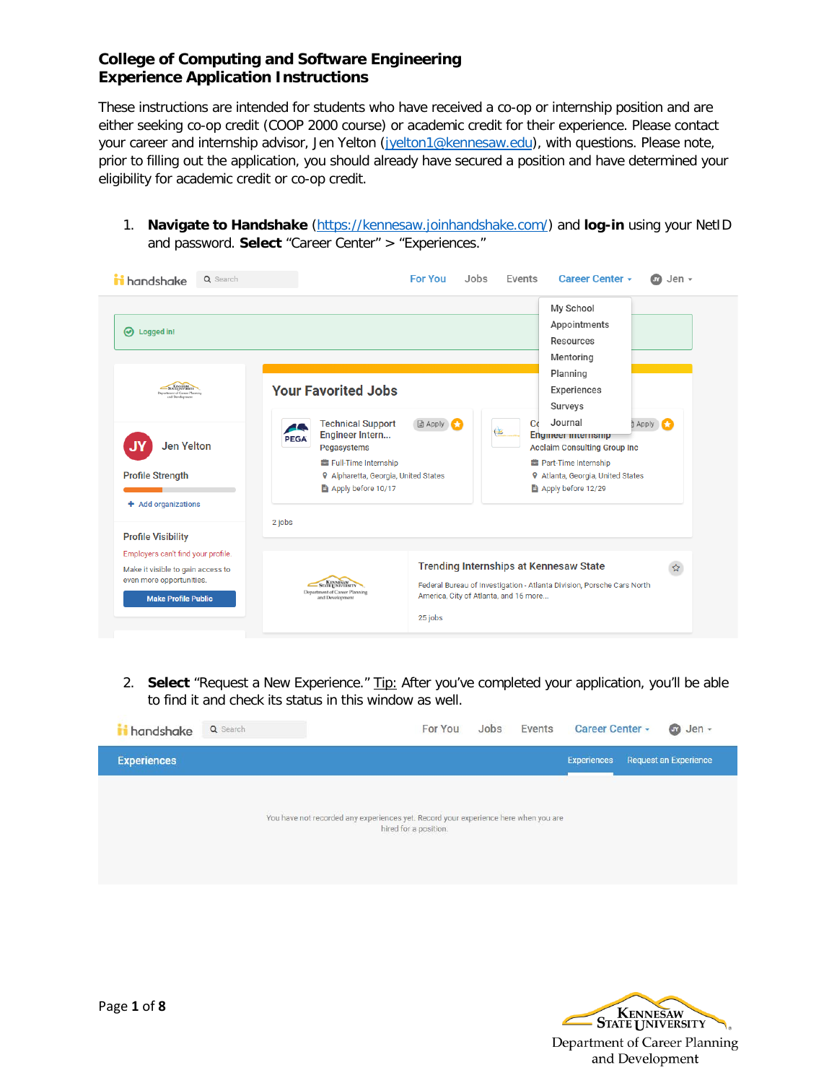These instructions are intended for students who have received a co-op or internship position and are either seeking co-op credit (COOP 2000 course) or academic credit for their experience. Please contact your career and internship advisor, Jen Yelton [\(jyelton1@kennesaw.edu\)](mailto:jyelton1@kennesaw.edu), with questions. Please note, prior to filling out the application, you should already have secured a position and have determined your eligibility for academic credit or co-op credit.

1. **Navigate to Handshake** [\(https://kennesaw.joinhandshake.com/\)](https://kennesaw.joinhandshake.com/) and **log-in** using your NetID and password. **Select** "Career Center" > "Experiences."



2. **Select** "Request a New Experience." Tip: After you've completed your application, you'll be able to find it and check its status in this window as well.



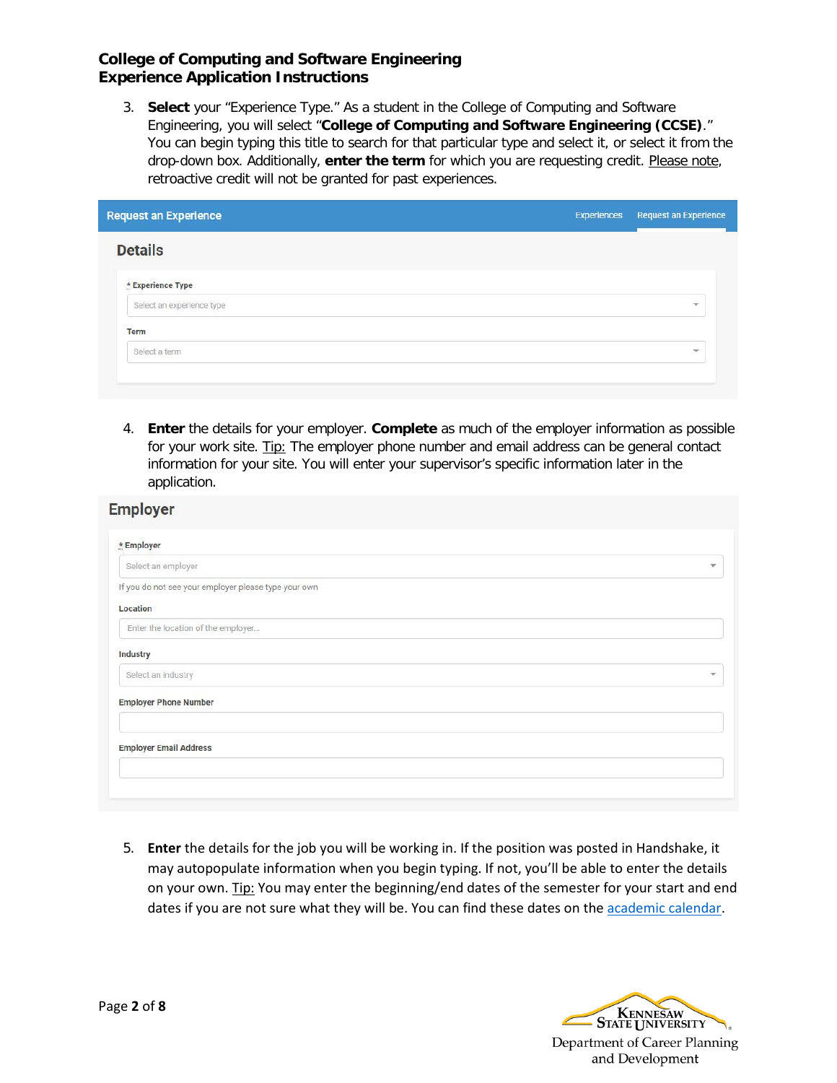3. **Select** your "Experience Type." As a student in the College of Computing and Software Engineering, you will select "**College of Computing and Software Engineering (CCSE)**." You can begin typing this title to search for that particular type and select it, or select it from the drop-down box. Additionally, enter the term for which you are requesting credit. Please note, retroactive credit will not be granted for past experiences.

| Experiences | <b>Request an Experience</b> |
|-------------|------------------------------|
|             |                              |
|             |                              |
|             | $\overline{\mathbf{v}}$      |
|             |                              |
|             | $\overline{\mathbf{v}}$      |
|             |                              |
|             |                              |

4. **Enter** the details for your employer. **Complete** as much of the employer information as possible for your work site. Tip: The employer phone number and email address can be general contact information for your site. You will enter your supervisor's specific information later in the application.

| * Employer                                           |               |
|------------------------------------------------------|---------------|
| Select an employer                                   | $\mathcal{L}$ |
| If you do not see your employer please type your own |               |
| Location                                             |               |
| Enter the location of the employer                   |               |
| Industry                                             |               |
| Select an industry                                   | $\mathbf{w}$  |
| <b>Employer Phone Number</b>                         |               |
| <b>Employer Email Address</b>                        |               |
|                                                      |               |

5. **Enter** the details for the job you will be working in. If the position was posted in Handshake, it may autopopulate information when you begin typing. If not, you'll be able to enter the details on your own. Tip: You may enter the beginning/end dates of the semester for your start and end dates if you are not sure what they will be. You can find these dates on the [academic calendar.](http://registrar.kennesaw.edu/academiccalendar/spring2018.php)

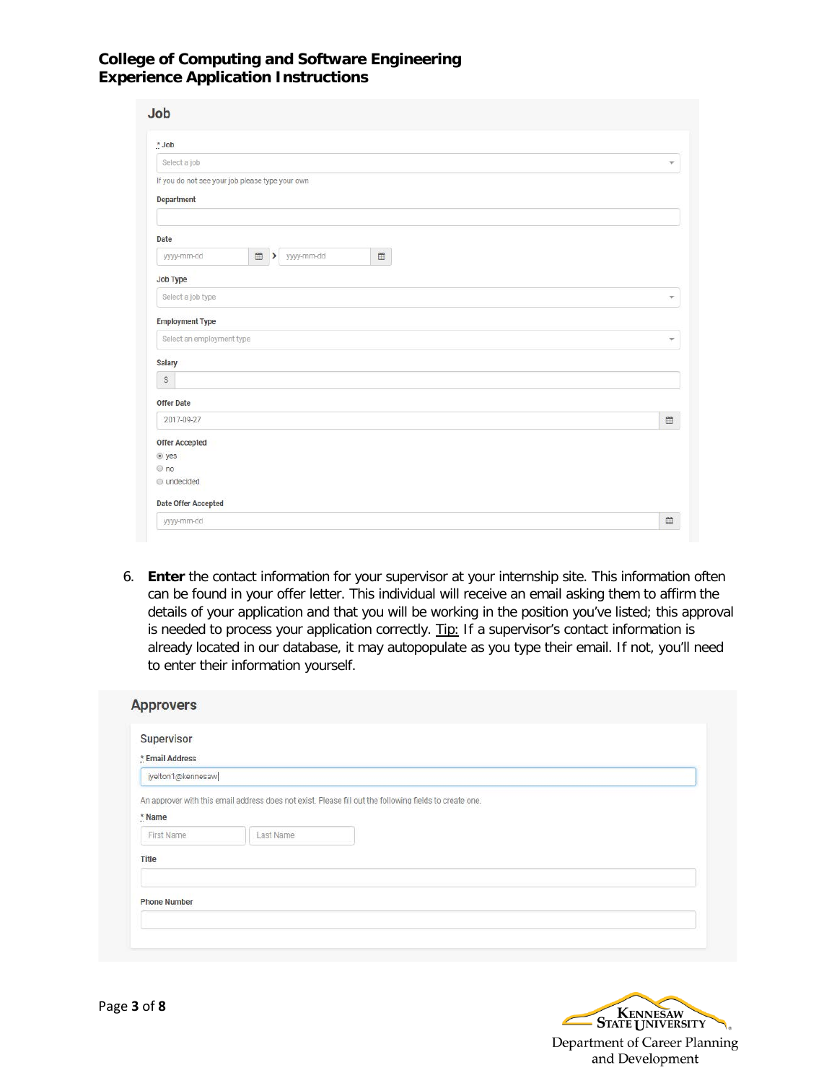| * Job                                           |                                 |            |                |                                       |
|-------------------------------------------------|---------------------------------|------------|----------------|---------------------------------------|
| Select a job                                    |                                 |            |                | $\mathbf{v}$                          |
| If you do not see your job please type your own |                                 |            |                |                                       |
| <b>Department</b>                               |                                 |            |                |                                       |
|                                                 |                                 |            |                |                                       |
|                                                 |                                 |            |                |                                       |
| Date                                            |                                 |            |                |                                       |
| yyyy-mm-dd                                      | $\mathfrak{m}$<br>$\rightarrow$ | yyyy-mm-dd | $\mathfrak{m}$ |                                       |
| <b>Job Type</b>                                 |                                 |            |                |                                       |
| Select a job type                               |                                 |            |                | ÷.                                    |
|                                                 |                                 |            |                |                                       |
| <b>Employment Type</b>                          |                                 |            |                |                                       |
| Select an employment type                       |                                 |            |                | $\checkmark$                          |
| <b>Salary</b>                                   |                                 |            |                |                                       |
| $\mathbb{S}$                                    |                                 |            |                |                                       |
|                                                 |                                 |            |                |                                       |
| <b>Offer Date</b>                               |                                 |            |                |                                       |
| 2017-09-27                                      |                                 |            |                | $\stackrel{\textstyle\alpha}{\equiv}$ |
| <b>Offer Accepted</b>                           |                                 |            |                |                                       |
|                                                 |                                 |            |                |                                       |
|                                                 |                                 |            |                |                                       |
|                                                 |                                 |            |                |                                       |
| $e$ yes<br>$@$ no<br>o undecided                |                                 |            |                |                                       |

6. **Enter** the contact information for your supervisor at your internship site. This information often can be found in your offer letter. This individual will receive an email asking them to affirm the details of your application and that you will be working in the position you've listed; this approval is needed to process your application correctly. Tip: If a supervisor's contact information is already located in our database, it may autopopulate as you type their email. If not, you'll need to enter their information yourself.

| Supervisor          |           |                                                                                                         |
|---------------------|-----------|---------------------------------------------------------------------------------------------------------|
| * Email Address     |           |                                                                                                         |
| jyelton1@kennesaw   |           |                                                                                                         |
|                     |           | An approver with this email address does not exist. Please fill out the following fields to create one. |
|                     |           |                                                                                                         |
| * Name              |           |                                                                                                         |
|                     |           |                                                                                                         |
| First Name          | Last Name |                                                                                                         |
| Title               |           |                                                                                                         |
|                     |           |                                                                                                         |
| <b>Phone Number</b> |           |                                                                                                         |

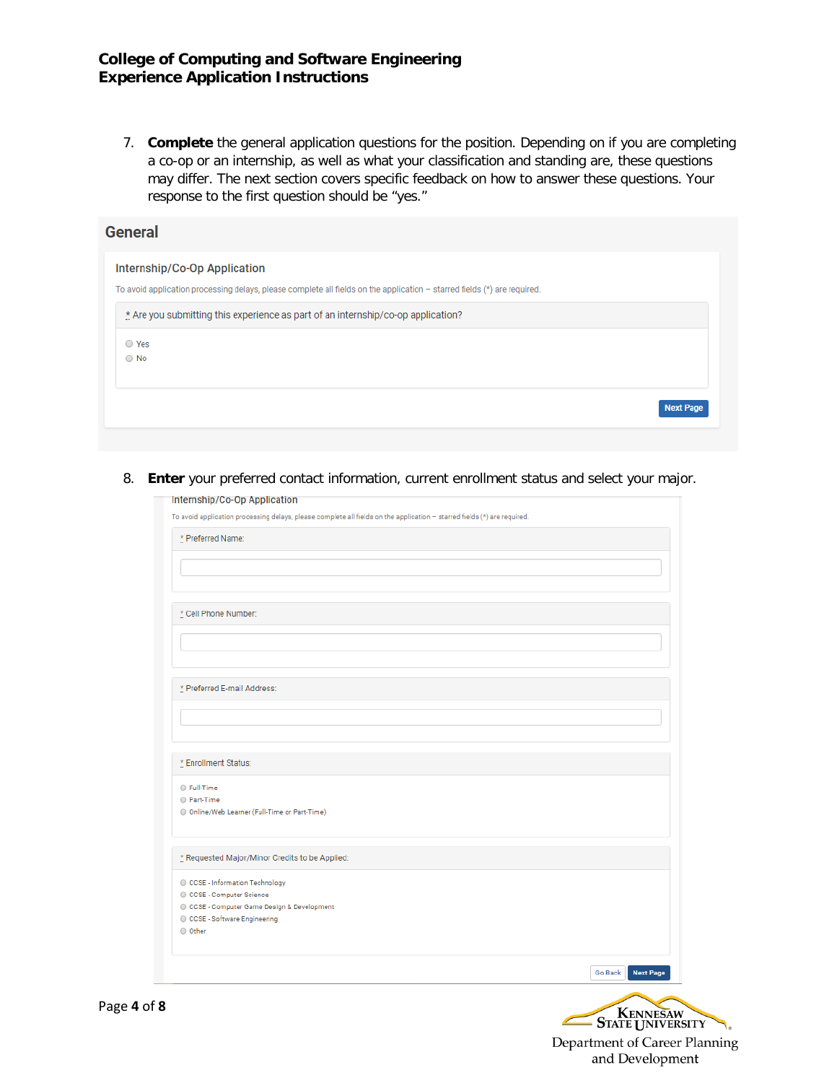7. **Complete** the general application questions for the position. Depending on if you are completing a co-op or an internship, as well as what your classification and standing are, these questions may differ. The next section covers specific feedback on how to answer these questions. Your response to the first question should be "yes."

| <b>General</b>                                                                                                                                                                                                   |                  |
|------------------------------------------------------------------------------------------------------------------------------------------------------------------------------------------------------------------|------------------|
| Internship/Co-Op Application                                                                                                                                                                                     |                  |
| To avoid application processing delays, please complete all fields on the application $-$ starred fields $(*)$ are required.<br>* Are you submitting this experience as part of an internship/co-op application? |                  |
| ○ Yes                                                                                                                                                                                                            |                  |
| $\circ$ No                                                                                                                                                                                                       |                  |
|                                                                                                                                                                                                                  | <b>Next Page</b> |
|                                                                                                                                                                                                                  |                  |

8. **Enter** your preferred contact information, current enrollment status and select your major.

| * Preferred Name:                              |                                    |
|------------------------------------------------|------------------------------------|
|                                                |                                    |
|                                                |                                    |
|                                                |                                    |
|                                                |                                    |
|                                                |                                    |
| * Cell Phone Number:                           |                                    |
|                                                |                                    |
|                                                |                                    |
|                                                |                                    |
|                                                |                                    |
| * Preferred E-mail Address:                    |                                    |
|                                                |                                    |
|                                                |                                    |
|                                                |                                    |
|                                                |                                    |
| * Enrollment Status:                           |                                    |
| <b>Eull-Time</b>                               |                                    |
| <b>C</b> Part-Time                             |                                    |
| © Online/Web Learner (Full-Time or Part-Time)  |                                    |
|                                                |                                    |
|                                                |                                    |
| * Requested Major/Minor Credits to be Applied: |                                    |
| CCSE - Information Technology                  |                                    |
| CCSE - Computer Science                        |                                    |
| CCSE - Computer Game Design & Development      |                                    |
| CCSE - Software Engineering                    |                                    |
| O Other                                        |                                    |
|                                                |                                    |
|                                                | <b>Go Back</b><br><b>Next Page</b> |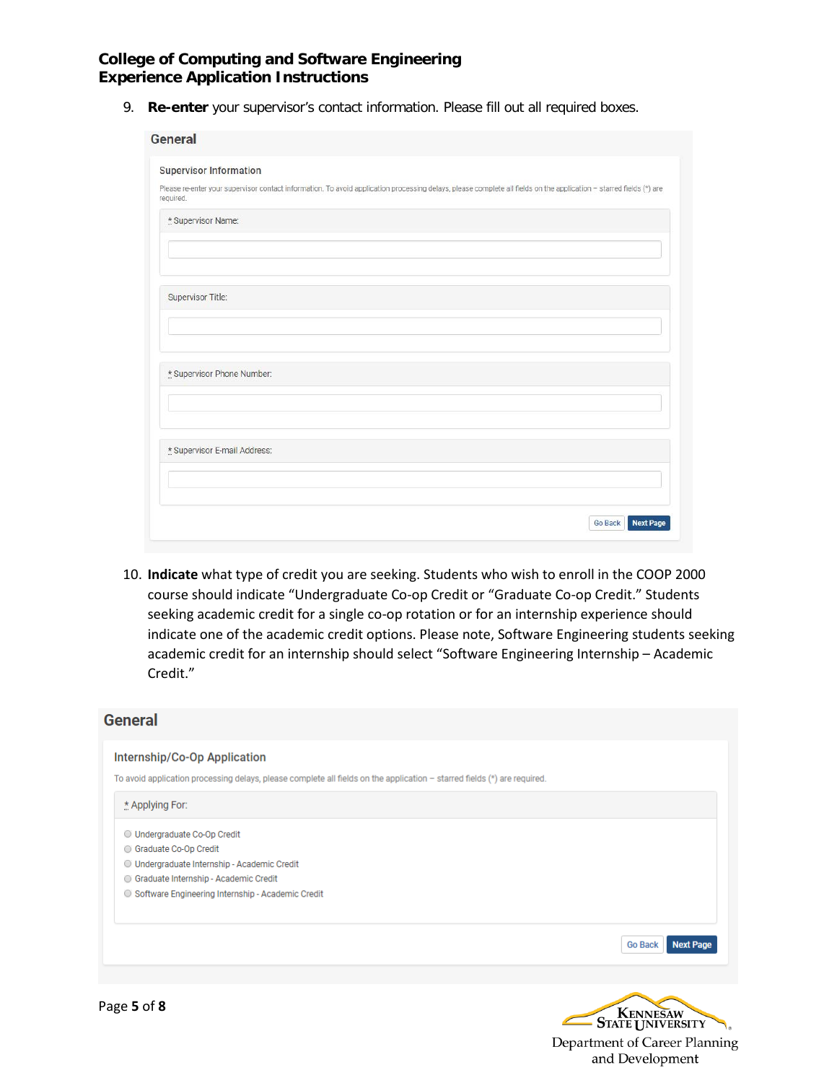9. **Re-enter** your supervisor's contact information. Please fill out all required boxes.

| <b>Supervisor Information</b> |                                                                                                                                                                     |
|-------------------------------|---------------------------------------------------------------------------------------------------------------------------------------------------------------------|
| required.                     | Please re-enter your supervisor contact information. To avoid application processing delays, please complete all fields on the application - starred fields (*) are |
| * Supervisor Name:            |                                                                                                                                                                     |
|                               |                                                                                                                                                                     |
|                               |                                                                                                                                                                     |
| Supervisor Title:             |                                                                                                                                                                     |
|                               |                                                                                                                                                                     |
|                               |                                                                                                                                                                     |
| * Supervisor Phone Number:    |                                                                                                                                                                     |
|                               |                                                                                                                                                                     |
| * Supervisor E-mail Address:  |                                                                                                                                                                     |
|                               |                                                                                                                                                                     |
|                               |                                                                                                                                                                     |

10. **Indicate** what type of credit you are seeking. Students who wish to enroll in the COOP 2000 course should indicate "Undergraduate Co-op Credit or "Graduate Co-op Credit." Students seeking academic credit for a single co-op rotation or for an internship experience should indicate one of the academic credit options. Please note, Software Engineering students seeking academic credit for an internship should select "Software Engineering Internship – Academic Credit."

# **General** Internship/Co-Op Application To avoid application processing delays, please complete all fields on the application - starred fields (\*) are required. \* Applying For: O Undergraduate Co-Op Credit Graduate Co-Op Credit O Undergraduate Internship - Academic Credit Graduate Internship - Academic Credit ○ Software Engineering Internship - Academic Credit Go Back Next Page STATE UNIVERSITY

Department of Career Planning and Development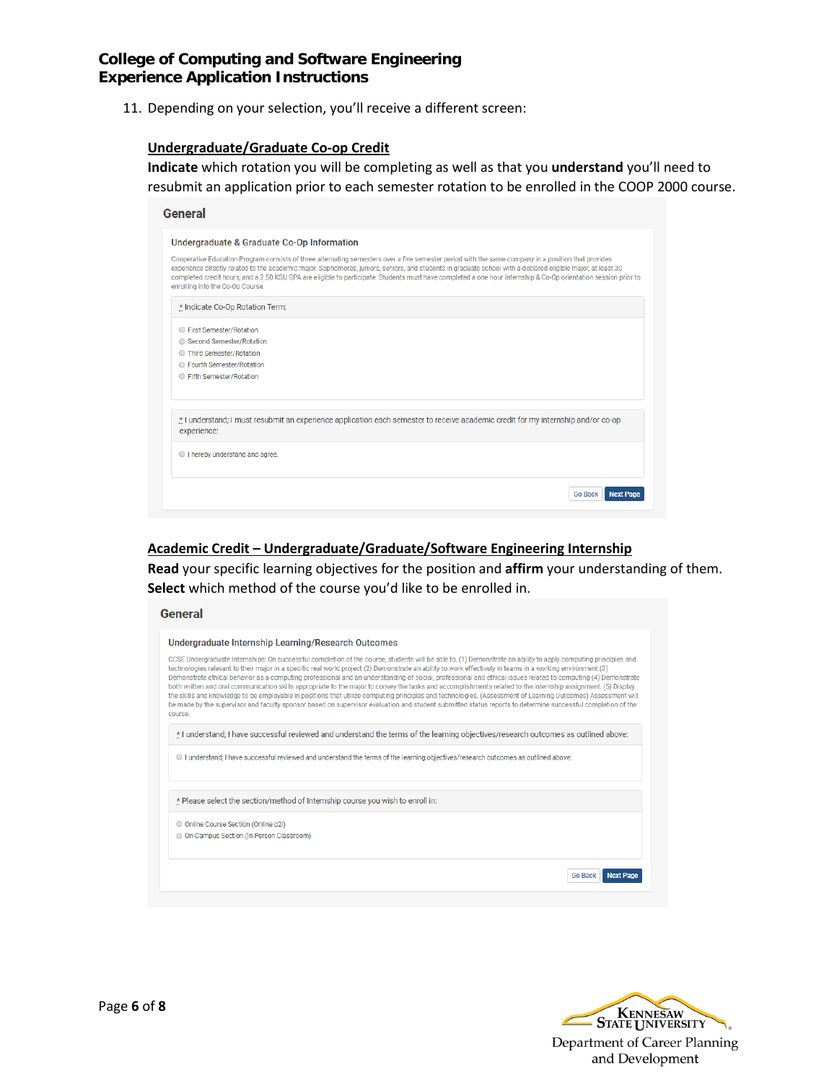11. Depending on your selection, you'll receive a different screen:

#### **Undergraduate/Graduate Co-op Credit**

**Indicate** which rotation you will be completing as well as that you **understand** you'll need to resubmit an application prior to each semester rotation to be enrolled in the COOP 2000 course.

| General                                                                                                                                                                                                                                                                                                                                                                                                                                                                                                                    |
|----------------------------------------------------------------------------------------------------------------------------------------------------------------------------------------------------------------------------------------------------------------------------------------------------------------------------------------------------------------------------------------------------------------------------------------------------------------------------------------------------------------------------|
| Undergraduate & Graduate Co-Op Information                                                                                                                                                                                                                                                                                                                                                                                                                                                                                 |
| Cooperative Education Program consists of three alternating semesters over a five semester period with the same company in a position that provides<br>experience directly related to the academic major. Sophomores, juniors, seniors, and students in graduate school with a declared eligible major, at least 30<br>completed credit hours, and a 2.50 KSU GPA are eligible to participate. Students must have completed a one hour Internship & Co-Op orientation session prior to<br>enrolling into the Co-Op Course. |
| * Indicate Co-Op Rotation Term:                                                                                                                                                                                                                                                                                                                                                                                                                                                                                            |
| ○ First Semester/Rotation                                                                                                                                                                                                                                                                                                                                                                                                                                                                                                  |
| ◯ Second Semester/Rotation                                                                                                                                                                                                                                                                                                                                                                                                                                                                                                 |
| ◯ Third Semester/Rotation                                                                                                                                                                                                                                                                                                                                                                                                                                                                                                  |
| ◯ Fourth Semester/Rotation                                                                                                                                                                                                                                                                                                                                                                                                                                                                                                 |
| ◯ Fifth Semester/Rotation                                                                                                                                                                                                                                                                                                                                                                                                                                                                                                  |
| * I understand; I must resubmit an experience application each semester to receive academic credit for my internship and/or co-op<br>experience:                                                                                                                                                                                                                                                                                                                                                                           |
| I hereby understand and agree.                                                                                                                                                                                                                                                                                                                                                                                                                                                                                             |
| <b>Go Back</b><br><b>Next Page</b>                                                                                                                                                                                                                                                                                                                                                                                                                                                                                         |

#### **Academic Credit – Undergraduate/Graduate/Software Engineering Internship**

**Read** your specific learning objectives for the position and **affirm** your understanding of them. **Select** which method of the course you'd like to be enrolled in.

#### **General**

| Undergraduate Internship Learning/Research Outcomes                                                                                                                                                                                                                                                                                                                                                                                                                                                                                                                                                                                                                                                                                                                                                                                                                                                                                                                                                      |
|----------------------------------------------------------------------------------------------------------------------------------------------------------------------------------------------------------------------------------------------------------------------------------------------------------------------------------------------------------------------------------------------------------------------------------------------------------------------------------------------------------------------------------------------------------------------------------------------------------------------------------------------------------------------------------------------------------------------------------------------------------------------------------------------------------------------------------------------------------------------------------------------------------------------------------------------------------------------------------------------------------|
| CCSE Undergraduate Internships: On successful completion of the course, students will be able to, (1) Demonstrate an ability to apply computing principles and<br>technologies relevant to their major in a specific real world project (2) Demonstrate an ability to work effectively in teams in a working environment (3)<br>Demonstrate ethical behavior as a computing professional and an understanding of social, professional and ethical issues related to computing (4) Demonstrate<br>both written and oral communication skills appropriate to the major to convey the tasks and accomplishments related to the internship assignment. (5) Display<br>the skills and knowledge to be employable in positions that utilize computing principles and technologies. (Assessment of Learning Outcomes) Assessment will<br>be made by the supervisor and faculty sponsor based on supervisor evaluation and student submitted status reports to determine successful completion of the<br>course. |
| * I understand; I have successful reviewed and understand the terms of the learning objectives/research outcomes as outlined above:                                                                                                                                                                                                                                                                                                                                                                                                                                                                                                                                                                                                                                                                                                                                                                                                                                                                      |
| O I understand; I have successful reviewed and understand the terms of the learning objectives/research outcomes as outlined above:                                                                                                                                                                                                                                                                                                                                                                                                                                                                                                                                                                                                                                                                                                                                                                                                                                                                      |
| * Please select the section/method of Internship course you wish to enroll in:                                                                                                                                                                                                                                                                                                                                                                                                                                                                                                                                                                                                                                                                                                                                                                                                                                                                                                                           |
| O Online Course Section (Online d2l)                                                                                                                                                                                                                                                                                                                                                                                                                                                                                                                                                                                                                                                                                                                                                                                                                                                                                                                                                                     |
| © On-Campus Section (In Person Classroom)                                                                                                                                                                                                                                                                                                                                                                                                                                                                                                                                                                                                                                                                                                                                                                                                                                                                                                                                                                |
| <b>Go Back</b><br><b>Next P</b>                                                                                                                                                                                                                                                                                                                                                                                                                                                                                                                                                                                                                                                                                                                                                                                                                                                                                                                                                                          |
|                                                                                                                                                                                                                                                                                                                                                                                                                                                                                                                                                                                                                                                                                                                                                                                                                                                                                                                                                                                                          |

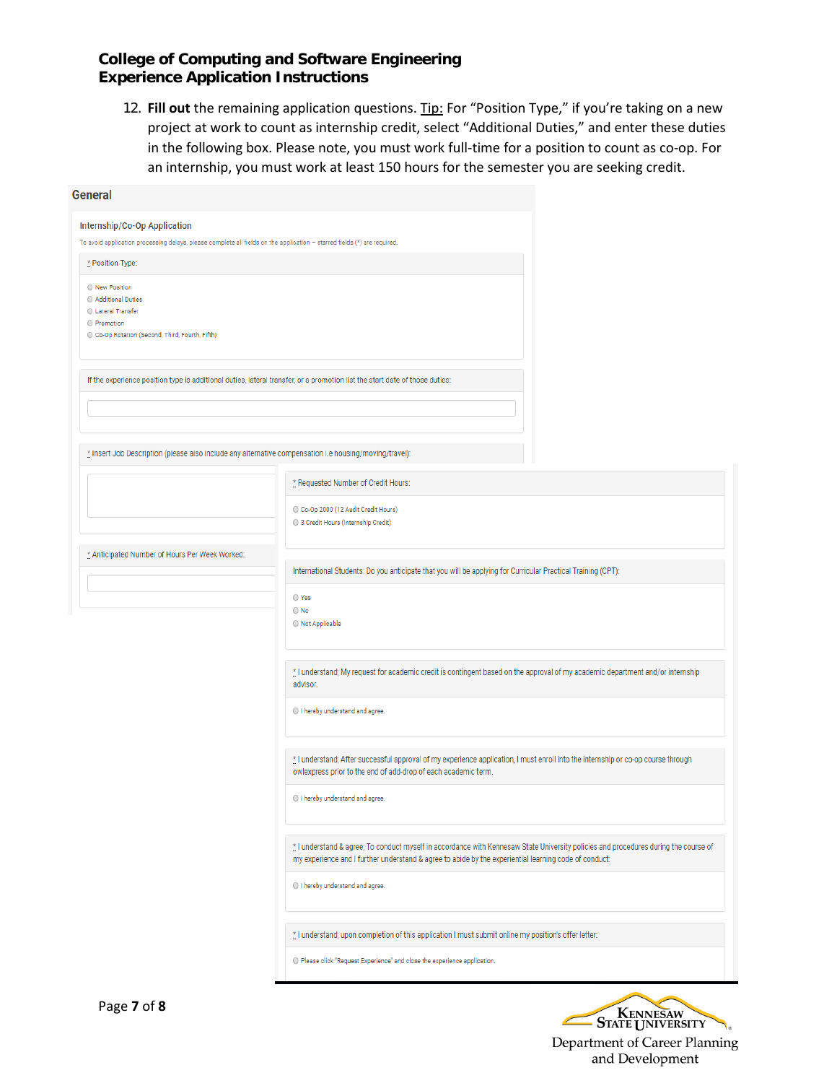12. **Fill out** the remaining application questions. Tip: For "Position Type," if you're taking on a new project at work to count as internship credit, select "Additional Duties," and enter these duties in the following box. Please note, you must work full-time for a position to count as co-op. For an internship, you must work at least 150 hours for the semester you are seeking credit.

| General                                                                                                                        |                                                                                                                                                                                                                                              |  |  |  |
|--------------------------------------------------------------------------------------------------------------------------------|----------------------------------------------------------------------------------------------------------------------------------------------------------------------------------------------------------------------------------------------|--|--|--|
| Internship/Co-Op Application                                                                                                   |                                                                                                                                                                                                                                              |  |  |  |
| To avoid application processing delays, please complete all fields on the application - starred fields (*) are required.       |                                                                                                                                                                                                                                              |  |  |  |
| * Position Type:                                                                                                               |                                                                                                                                                                                                                                              |  |  |  |
| O New Position<br>Additional Duties<br>C Lateral Transfer<br><b>Promotion</b><br>Co-Op Rotation (Second, Third, Fourth, Fifth) |                                                                                                                                                                                                                                              |  |  |  |
| If the experience position type is additional duties, lateral transfer, or a promotion list the start date of those duties:    |                                                                                                                                                                                                                                              |  |  |  |
|                                                                                                                                |                                                                                                                                                                                                                                              |  |  |  |
| * Insert Job Description (please also include any alternative compensation i.e housing/moving/travel):                         |                                                                                                                                                                                                                                              |  |  |  |
|                                                                                                                                | * Requested Number of Credit Hours:<br>Co-Op 2000 (12 Audit Credit Hours)<br>3 Credit Hours (Internship Credit)                                                                                                                              |  |  |  |
| * Anticipated Number of Hours Per Week Worked:                                                                                 | International Students: Do you anticipate that you will be applying for Curricular Practical Training (CPT):                                                                                                                                 |  |  |  |
|                                                                                                                                | O Yes<br>$\bigcirc$ No<br>Not Applicable                                                                                                                                                                                                     |  |  |  |
|                                                                                                                                | the understand; My request for academic credit is contingent based on the approval of my academic department and/or internship<br>advisor.                                                                                                   |  |  |  |
|                                                                                                                                | I hereby understand and agree.                                                                                                                                                                                                               |  |  |  |
|                                                                                                                                | * I understand; After successful approval of my experience application, I must enroll into the internship or co-op course through<br>owlexpress prior to the end of add-drop of each academic term.                                          |  |  |  |
|                                                                                                                                | I hereby understand and agree.                                                                                                                                                                                                               |  |  |  |
|                                                                                                                                | * I understand & agree; To conduct myself in accordance with Kennesaw State University policies and procedures during the course of<br>my experience and I further understand & agree to abide by the experiential learning code of conduct: |  |  |  |
|                                                                                                                                | I hereby understand and agree.                                                                                                                                                                                                               |  |  |  |
|                                                                                                                                | * I understand; upon completion of this application I must submit online my position's offer letter:                                                                                                                                         |  |  |  |
|                                                                                                                                | O Please click "Request Experience" and close the experience application.                                                                                                                                                                    |  |  |  |